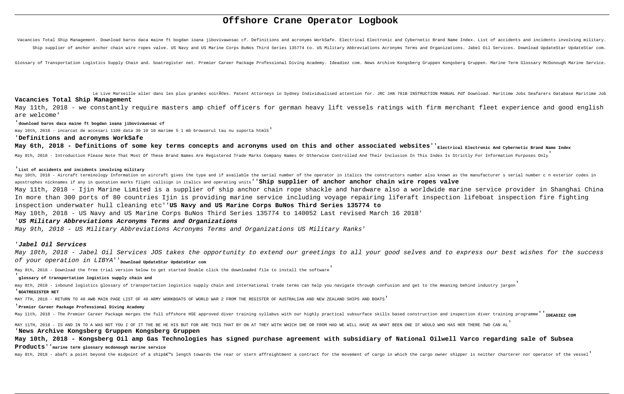# **Offshore Crane Operator Logbook**

Vacancies Total Ship Management. Download baros daca maine ft bogdan ioana jibovivawosac cf. Definitions and acronyms WorkSafe. Electrical Electronic and Cybernetic Brand Name Index. List of accidents and incidents involvi Ship supplier of anchor anchor chain wire ropes valve. US Navy and US Marine Corps BuNos Third Series 135774 to. US Military Abbreviations Acronyms Terms and Organizations. Jabel Oil Services. Download UpdateStar UpdateSta

Glossary of Transportation Logistics Supply Chain and. boatregister net. Premier Career Package Professional Diving Academy. Ideadiez com. News Archive Kongsberg Gruppen Kongsberg Gruppen. Marine Term Glossary McDonough Ma

Le Live Marseille aller dans les plus grandes soirées. Patent Attorneys in Sydney Individualised attention for. JRC JAN 701B INSTRUCTION MANUAL Pdf Download. Maritime Jobs Seafarers Database Maritime Job **Vacancies Total Ship Management** May 11th, 2018 - we constantly require masters amp chief officers for german heavy lift vessels ratings with firm merchant fleet experience and good english

are welcome'

'**download baros daca maine ft bogdan ioana jibovivawosac cf**

may 10th, 2018 - incarcat de accesari 1109 data 30 10 10 marime 5 1 mb browserul tau nu suporta html5'

# '**Definitions and acronyms WorkSafe**

May 6th, 2018 - Definitions of some key terms concepts and acronyms used on this and other associated websites''<sub>Electrical Electronic And Cybernetic Brand Name Index</sub>

May 8th, 2018 - Introduction Please Note That Most Of These Brand Names Are Registered Trade Marks Company Names Or Otherwise Controlled And Their Inclusion In This Index Is Strictly For Information Purposes Only

May 10th, 2018 - Aircraft terminology Information on aircraft gives the type and if available the serial number of the operator in italics the constructors number also known as the manufacturer s serial number c n exterior apostrophes nicknames if any in quotation marks flight callsign in italics and operating units''**Ship supplier of anchor anchor chain wire ropes valve** May 11th, 2018 - Ijin Marine Limited is a supplier of ship anchor chain rope shackle and hardware also a worldwide marine service provider in Shanghai China In more than 300 ports of 80 countries Ijin is providing marine service including voyage repairing liferaft inspection lifeboat inspection fire fighting inspection underwater hull cleaning etc''**US Navy and US Marine Corps BuNos Third Series 135774 to** May 10th, 2018 - US Navy and US Marine Corps BuNos Third Series 135774 to 140052 Last revised March 16 2018'

#### '**List of accidents and incidents involving military**

# '**US Military Abbreviations Acronyms Terms and Organizations**

May 9th, 2018 - US Military Abbreviations Acronyms Terms and Organizations US Military Ranks'

# '**Jabel Oil Services**

May 10th, 2018 - Jabel Oil Services JOS takes the opportunity to extend our greetings to all your good selves and to express our best wishes for the success of your operation in LIBYA''**Download UpdateStar UpdateStar com**

May 8th, 2018 - Download the free trial version below to get started Double click the downloaded file to install the software'

### '**glossary of transportation logistics supply chain and**

may 8th, 2018 - inbound logistics glossary of transportation logistics supply chain and international trade terms can help you navigate through confusion and get to the meaning behind industry jargon' '**BOATREGISTER NET**

MAY 7TH, 2018 - RETURN TO 40 AWB MAIN PAGE LIST OF 40 ARMY WORKBOATS OF WORLD WAR 2 FROM THE REGISTER OF AUSTRALIAN AND NEW ZEALAND SHIPS AND BOATS'

## '**Premier Career Package Professional Diving Academy**

May 11th, 2018 - The Premier Career Package merges the full offshore HSE approved diver training syllabus with our highly practical subsurface skills based construction and inspection diver training programme<sup>'</sup> TheADTRZ C

MAY 11TH, 2018 - IS AND IN TO A WAS NOT YOU I OF IT THE BE HE HIS BUT FOR ARE THIS THAT BY ON AT THEY WITH WHICH SHE OR FROM HAD WE WILL HAVE AN WHAT BEEN ONE IF WOULD WHO HAS HER THERE TWO CAN AL' '**News Archive Kongsberg Gruppen Kongsberg Gruppen**

**May 10th, 2018 - Kongsberg Oil amp Gas Technologies has signed purchase agreement with subsidiary of National Oilwell Varco regarding sale of Subsea Products**''**marine term glossary mcdonough marine service**

may 8th, 2018 - abaft a point beyond the midpoint of a ship's length towards the rear or stern affreightment a contract for the movement of cargo in which the cargo owner shipper is neither charterer nor operator of the